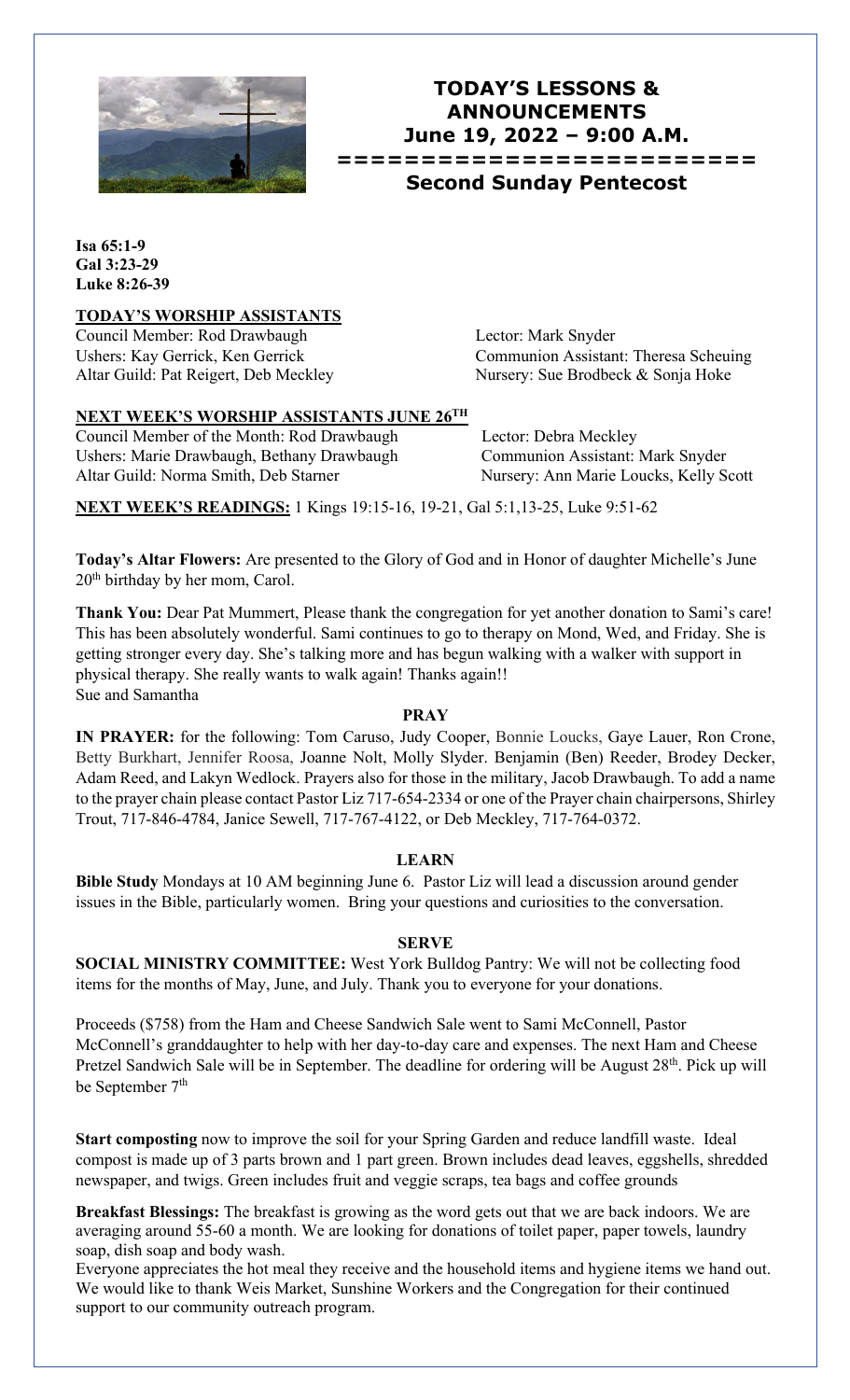

# **TODAY'S LESSONS & ANNOUNCEMENTS June 19, 2022 – 9:00 A.M.**

# **========================= Second Sunday Pentecost**

**Isa 65:1-9 Gal 3:23-29 Luke 8:26-39**

## **TODAY'S WORSHIP ASSISTANTS**

Council Member: Rod Drawbaugh Lector: Mark Snyder

Ushers: Kay Gerrick, Ken Gerrick Communion Assistant: Theresa Scheuing Altar Guild: Pat Reigert, Deb Meckley Nursery: Sue Brodbeck & Sonja Hoke

## **NEXT WEEK'S WORSHIP ASSISTANTS JUNE 26TH**

Council Member of the Month: Rod Drawbaugh Lector: Debra Meckley Ushers: Marie Drawbaugh, Bethany Drawbaugh Communion Assistant: Mark Snyder Altar Guild: Norma Smith, Deb Starner Nursery: Ann Marie Loucks, Kelly Scott

**NEXT WEEK'S READINGS:** 1 Kings 19:15-16, 19-21, Gal 5:1,13-25, Luke 9:51-62

**Today's Altar Flowers:** Are presented to the Glory of God and in Honor of daughter Michelle's June 20th birthday by her mom, Carol.

**Thank You:** Dear Pat Mummert, Please thank the congregation for yet another donation to Sami's care! This has been absolutely wonderful. Sami continues to go to therapy on Mond, Wed, and Friday. She is getting stronger every day. She's talking more and has begun walking with a walker with support in physical therapy. She really wants to walk again! Thanks again!! Sue and Samantha

### **PRAY**

**IN PRAYER:** for the following: Tom Caruso, Judy Cooper, Bonnie Loucks, Gaye Lauer, Ron Crone, Betty Burkhart, Jennifer Roosa, Joanne Nolt, Molly Slyder. Benjamin (Ben) Reeder, Brodey Decker, Adam Reed, and Lakyn Wedlock. Prayers also for those in the military, Jacob Drawbaugh. To add a name to the prayer chain please contact Pastor Liz 717-654-2334 or one of the Prayer chain chairpersons, Shirley Trout, 717-846-4784, Janice Sewell, 717-767-4122, or Deb Meckley, 717-764-0372.

### **LEARN**

**Bible Study** Mondays at 10 AM beginning June 6. Pastor Liz will lead a discussion around gender issues in the Bible, particularly women. Bring your questions and curiosities to the conversation.

### **SERVE**

**SOCIAL MINISTRY COMMITTEE:** West York Bulldog Pantry: We will not be collecting food items for the months of May, June, and July. Thank you to everyone for your donations.

Proceeds (\$758) from the Ham and Cheese Sandwich Sale went to Sami McConnell, Pastor McConnell's granddaughter to help with her day-to-day care and expenses. The next Ham and Cheese Pretzel Sandwich Sale will be in September. The deadline for ordering will be August 28<sup>th</sup>. Pick up will be September 7<sup>th</sup>

**Start composting** now to improve the soil for your Spring Garden and reduce landfill waste. Ideal compost is made up of 3 parts brown and 1 part green. Brown includes dead leaves, eggshells, shredded newspaper, and twigs. Green includes fruit and veggie scraps, tea bags and coffee grounds

**Breakfast Blessings:** The breakfast is growing as the word gets out that we are back indoors. We are averaging around 55-60 a month. We are looking for donations of toilet paper, paper towels, laundry soap, dish soap and body wash.

Everyone appreciates the hot meal they receive and the household items and hygiene items we hand out. We would like to thank Weis Market, Sunshine Workers and the Congregation for their continued support to our community outreach program.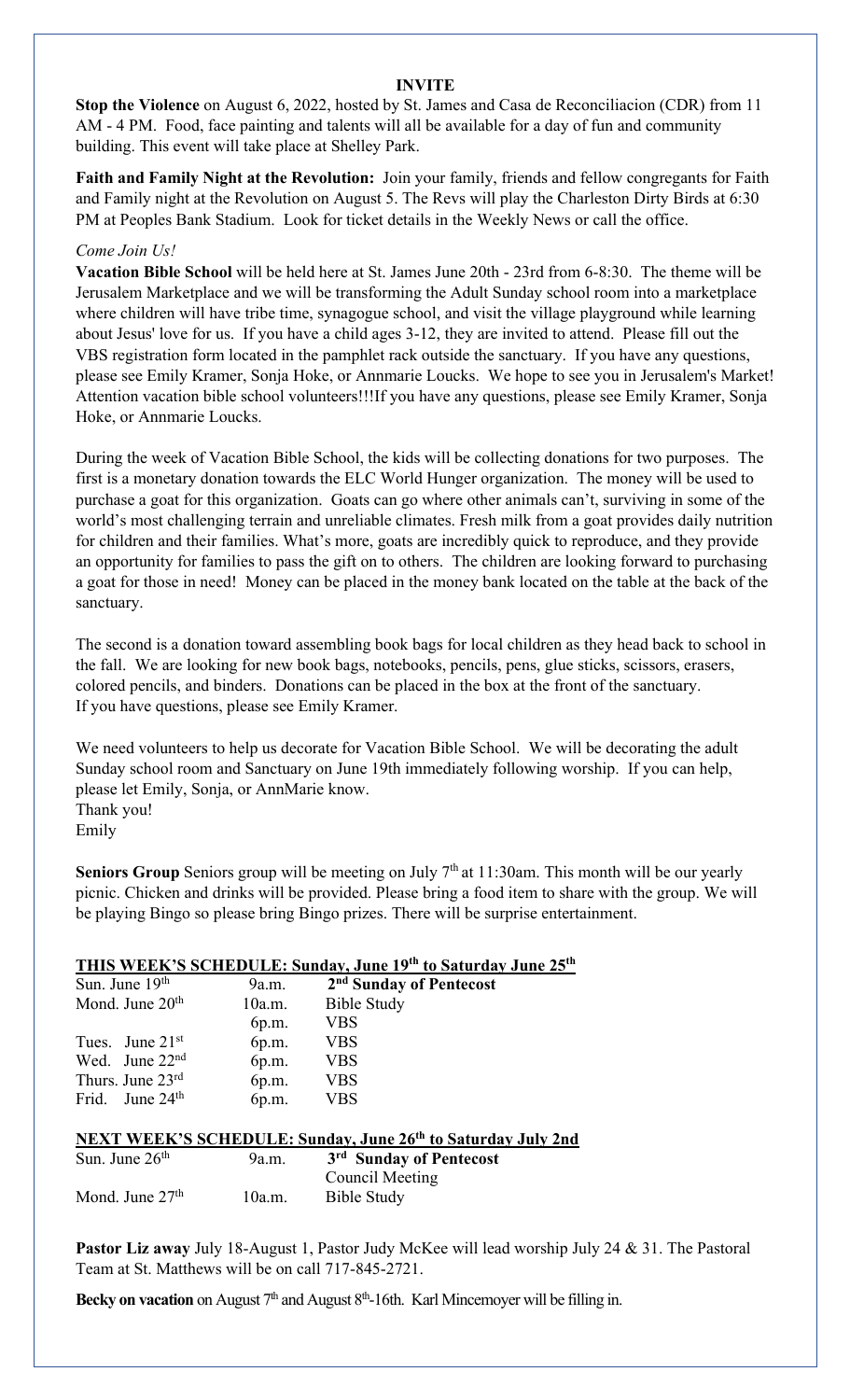#### **INVITE**

**Stop the Violence** on August 6, 2022, hosted by St. James and Casa de Reconciliacion (CDR) from 11 AM - 4 PM. Food, face painting and talents will all be available for a day of fun and community building. This event will take place at Shelley Park.

**Faith and Family Night at the Revolution:** Join your family, friends and fellow congregants for Faith and Family night at the Revolution on August 5. The Revs will play the Charleston Dirty Birds at 6:30 PM at Peoples Bank Stadium. Look for ticket details in the Weekly News or call the office.

#### *Come Join Us!*

**Vacation Bible School** will be held here at St. James June 20th - 23rd from 6-8:30. The theme will be Jerusalem Marketplace and we will be transforming the Adult Sunday school room into a marketplace where children will have tribe time, synagogue school, and visit the village playground while learning about Jesus' love for us. If you have a child ages 3-12, they are invited to attend. Please fill out the VBS registration form located in the pamphlet rack outside the sanctuary. If you have any questions, please see Emily Kramer, Sonja Hoke, or Annmarie Loucks. We hope to see you in Jerusalem's Market! Attention vacation bible school volunteers!!!If you have any questions, please see Emily Kramer, Sonja Hoke, or Annmarie Loucks.

During the week of Vacation Bible School, the kids will be collecting donations for two purposes. The first is a monetary donation towards the ELC World Hunger organization. The money will be used to purchase a goat for this organization. Goats can go where other animals can't, surviving in some of the world's most challenging terrain and unreliable climates. Fresh milk from a goat provides daily nutrition for children and their families. What's more, goats are incredibly quick to reproduce, and they provide an opportunity for families to pass the gift on to others. The children are looking forward to purchasing a goat for those in need! Money can be placed in the money bank located on the table at the back of the sanctuary.

The second is a donation toward assembling book bags for local children as they head back to school in the fall. We are looking for new book bags, notebooks, pencils, pens, glue sticks, scissors, erasers, colored pencils, and binders. Donations can be placed in the box at the front of the sanctuary. If you have questions, please see Emily Kramer.

We need volunteers to help us decorate for Vacation Bible School. We will be decorating the adult Sunday school room and Sanctuary on June 19th immediately following worship. If you can help, please let Emily, Sonja, or AnnMarie know. Thank you! Emily

**Seniors Group** Seniors group will be meeting on July  $7<sup>th</sup>$  at 11:30am. This month will be our yearly picnic. Chicken and drinks will be provided. Please bring a food item to share with the group. We will be playing Bingo so please bring Bingo prizes. There will be surprise entertainment.

| THIS WEEK'S SCHEDULE: Sunday, June 19th to Saturday June 25th |        |                                     |
|---------------------------------------------------------------|--------|-------------------------------------|
| Sun. June 19 <sup>th</sup>                                    | 9a.m.  | 2 <sup>nd</sup> Sunday of Pentecost |
| Mond. June 20 <sup>th</sup>                                   | 10a.m. | <b>Bible Study</b>                  |
|                                                               | 6p.m.  | <b>VBS</b>                          |
| Tues. June 21 <sup>st</sup>                                   | 6p.m.  | <b>VBS</b>                          |
| Wed. June $22nd$                                              | 6p.m.  | <b>VBS</b>                          |
| Thurs. June 23rd                                              | 6p.m.  | <b>VBS</b>                          |
| Frid. June $24th$                                             | 6p.m.  | VBS                                 |
|                                                               |        |                                     |
| NEXT WEEK'S SCHEDULE: Sunday, June 26th to Saturday July 2nd  |        |                                     |
| Sun. June $26th$                                              | 9a.m.  | 3rd Sunday of Pentecost             |
|                                                               |        | Council Meeting                     |
| Mond. June $27th$                                             | 10a.m. | <b>Bible Study</b>                  |

**Pastor Liz away** July 18-August 1, Pastor Judy McKee will lead worship July 24 & 31. The Pastoral Team at St. Matthews will be on call 717-845-2721.

**Becky on vacation** on August  $7<sup>th</sup>$  and August  $8<sup>th</sup>$ -16th. Karl Mincemoyer will be filling in.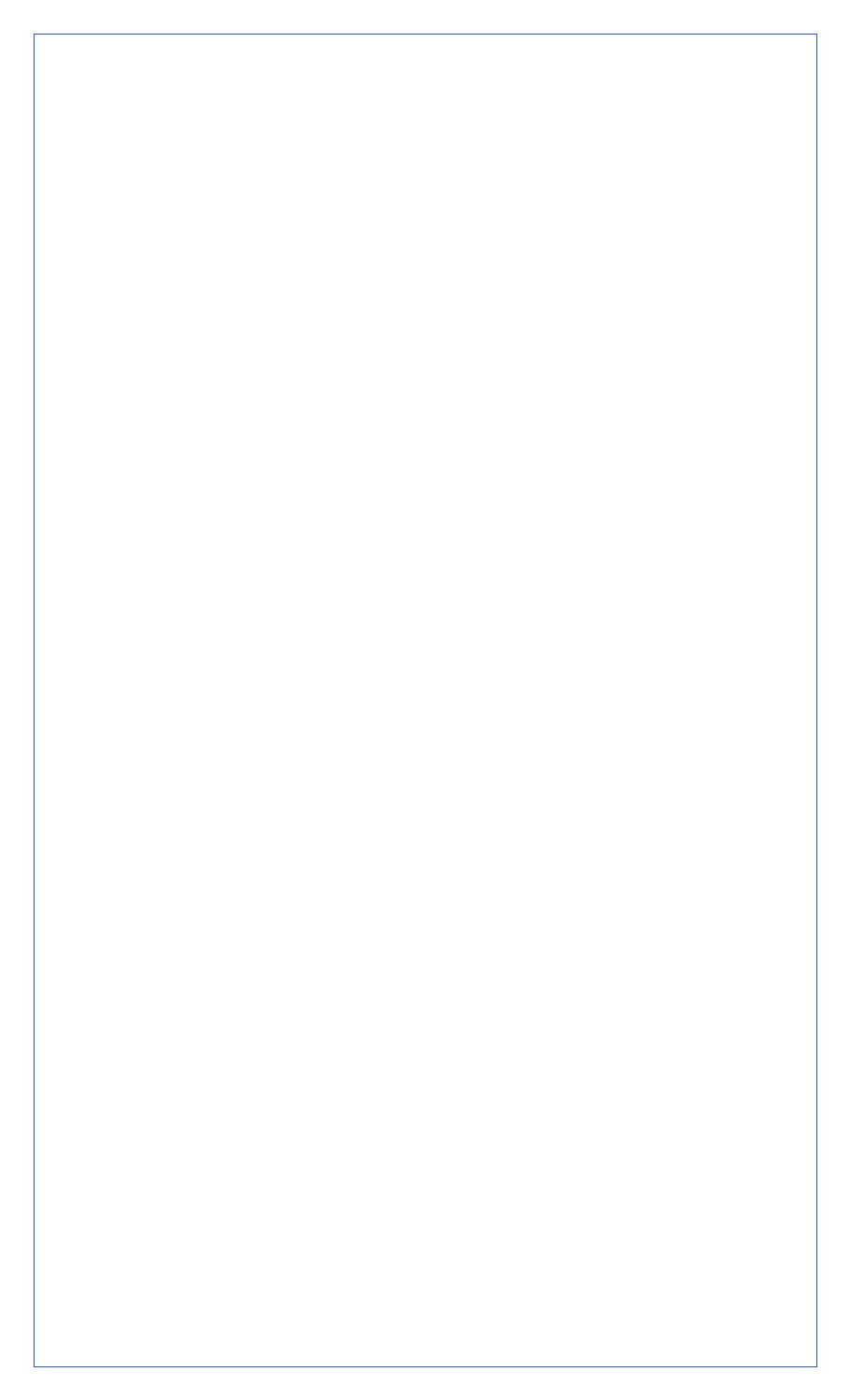